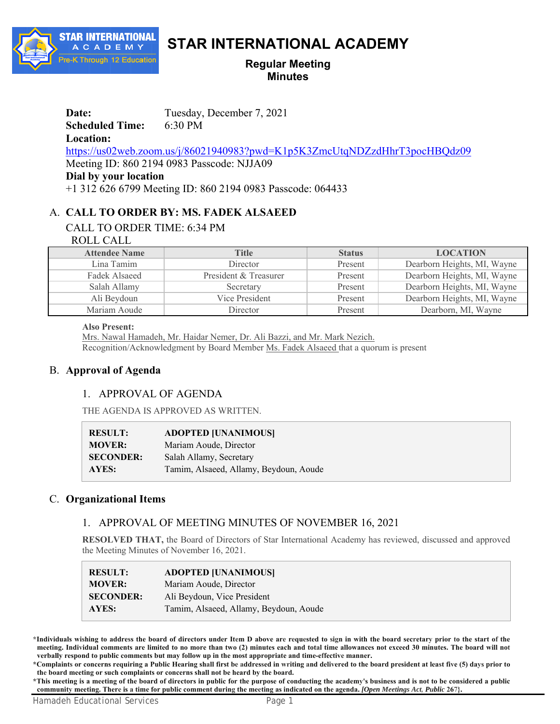

# **STAR INTERNATIONAL ACADEMY**

## **Regular Meeting Minutes**

**Date:** Tuesday, December 7, 2021

**Scheduled Time:** 6:30 PM

**Location:** 

https://us02web.zoom.us/j/86021940983?pwd=K1p5K3ZmcUtqNDZzdHhrT3pocHBQdz09

Meeting ID: 860 2194 0983 Passcode: NJJA09

**Dial by your location** 

+1 312 626 6799 Meeting ID: 860 2194 0983 Passcode: 064433

# A. **CALL TO ORDER BY: MS. FADEK ALSAEED**

# CALL TO ORDER TIME: 6:34 PM

## ROLL CALL

| <b>Attendee Name</b> | <b>Title</b>          | <b>Status</b> | <b>LOCATION</b>             |
|----------------------|-----------------------|---------------|-----------------------------|
| Lina Tamim           | Director              | Present       | Dearborn Heights, MI, Wayne |
| Fadek Alsaeed        | President & Treasurer | Present       | Dearborn Heights, MI, Wayne |
| Salah Allamy         | Secretary             | Present       | Dearborn Heights, MI, Wayne |
| Ali Beydoun          | Vice President        | Present       | Dearborn Heights, MI, Wayne |
| Mariam Aoude         | Director              | Present       | Dearborn, MI, Wayne         |

#### **Also Present:**

Mrs. Nawal Hamadeh, Mr. Haidar Nemer, Dr. Ali Bazzi, and Mr. Mark Nezich. Recognition/Acknowledgment by Board Member Ms. Fadek Alsaeed that a quorum is present

# B. **Approval of Agenda**

# 1. APPROVAL OF AGENDA

THE AGENDA IS APPROVED AS WRITTEN.

| <b>RESULT:</b>   | <b>ADOPTED [UNANIMOUS]</b>             |
|------------------|----------------------------------------|
| <b>MOVER:</b>    | Mariam Aoude, Director                 |
| <b>SECONDER:</b> | Salah Allamy, Secretary                |
| AYES:            | Tamim, Alsaeed, Allamy, Beydoun, Aoude |

# C. **Organizational Items**

# 1. APPROVAL OF MEETING MINUTES OF NOVEMBER 16, 2021

**RESOLVED THAT,** the Board of Directors of Star International Academy has reviewed, discussed and approved the Meeting Minutes of November 16, 2021.

| <b>RESULT:</b>   | <b>ADOPTED [UNANIMOUS]</b>             |
|------------------|----------------------------------------|
| <b>MOVER:</b>    | Mariam Aoude, Director                 |
| <b>SECONDER:</b> | Ali Beydoun, Vice President            |
| AYES:            | Tamim, Alsaeed, Allamy, Beydoun, Aoude |

**\*Individuals wishing to address the board of directors under Item D above are requested to sign in with the board secretary prior to the start of the meeting. Individual comments are limited to no more than two (2) minutes each and total time allowances not exceed 30 minutes. The board will not verbally respond to public comments but may follow up in the most appropriate and time-effective manner.**

**\*Complaints or concerns requiring a Public Hearing shall first be addressed in writing and delivered to the board president at least five (5) days prior to the board meeting or such complaints or concerns shall not be heard by the board.**

**\*This meeting is a meeting of the board of directors in public for the purpose of conducting the academy's business and is not to be considered a public community meeting. There is a time for public comment during the meeting as indicated on the agenda.** *[Open Meetings Act, Public* **267}.**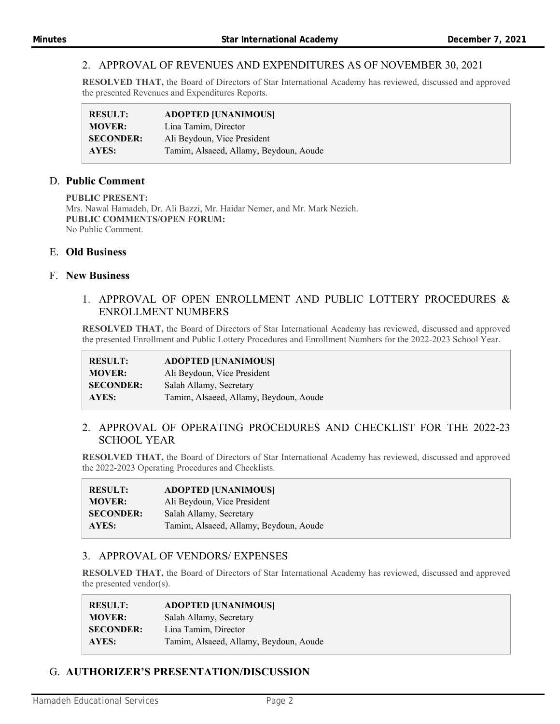## 2. APPROVAL OF REVENUES AND EXPENDITURES AS OF NOVEMBER 30, 2021

**RESOLVED THAT,** the Board of Directors of Star International Academy has reviewed, discussed and approved the presented Revenues and Expenditures Reports.

| <b>RESULT:</b>   | <b>ADOPTED [UNANIMOUS]</b>             |
|------------------|----------------------------------------|
| <b>MOVER:</b>    | Lina Tamim, Director                   |
| <b>SECONDER:</b> | Ali Beydoun, Vice President            |
| AYES:            | Tamim, Alsaeed, Allamy, Beydoun, Aoude |

## D. **Public Comment**

**PUBLIC PRESENT:**  Mrs. Nawal Hamadeh, Dr. Ali Bazzi, Mr. Haidar Nemer, and Mr. Mark Nezich. **PUBLIC COMMENTS/OPEN FORUM:**  No Public Comment.

## E. **Old Business**

#### F. **New Business**

### 1. APPROVAL OF OPEN ENROLLMENT AND PUBLIC LOTTERY PROCEDURES & ENROLLMENT NUMBERS

**RESOLVED THAT,** the Board of Directors of Star International Academy has reviewed, discussed and approved the presented Enrollment and Public Lottery Procedures and Enrollment Numbers for the 2022-2023 School Year.

| <b>RESULT:</b>   | <b>ADOPTED [UNANIMOUS]</b>             |
|------------------|----------------------------------------|
| <b>MOVER:</b>    | Ali Beydoun, Vice President            |
| <b>SECONDER:</b> | Salah Allamy, Secretary                |
| AYES:            | Tamim, Alsaeed, Allamy, Beydoun, Aoude |

## 2. APPROVAL OF OPERATING PROCEDURES AND CHECKLIST FOR THE 2022-23 SCHOOL YEAR

**RESOLVED THAT,** the Board of Directors of Star International Academy has reviewed, discussed and approved the 2022-2023 Operating Procedures and Checklists.

| <b>RESULT:</b>   | <b>ADOPTED [UNANIMOUS]</b>             |
|------------------|----------------------------------------|
| <b>MOVER:</b>    | Ali Beydoun, Vice President            |
| <b>SECONDER:</b> | Salah Allamy, Secretary                |
| AYES:            | Tamim, Alsaeed, Allamy, Beydoun, Aoude |

#### 3. APPROVAL OF VENDORS/ EXPENSES

**RESOLVED THAT,** the Board of Directors of Star International Academy has reviewed, discussed and approved the presented vendor(s).

| <b>RESULT:</b>   | <b>ADOPTED [UNANIMOUS]</b>             |
|------------------|----------------------------------------|
| <b>MOVER:</b>    | Salah Allamy, Secretary                |
| <b>SECONDER:</b> | Lina Tamim, Director                   |
| AYES:            | Tamim, Alsaeed, Allamy, Beydoun, Aoude |

# G. **AUTHORIZER'S PRESENTATION/DISCUSSION**